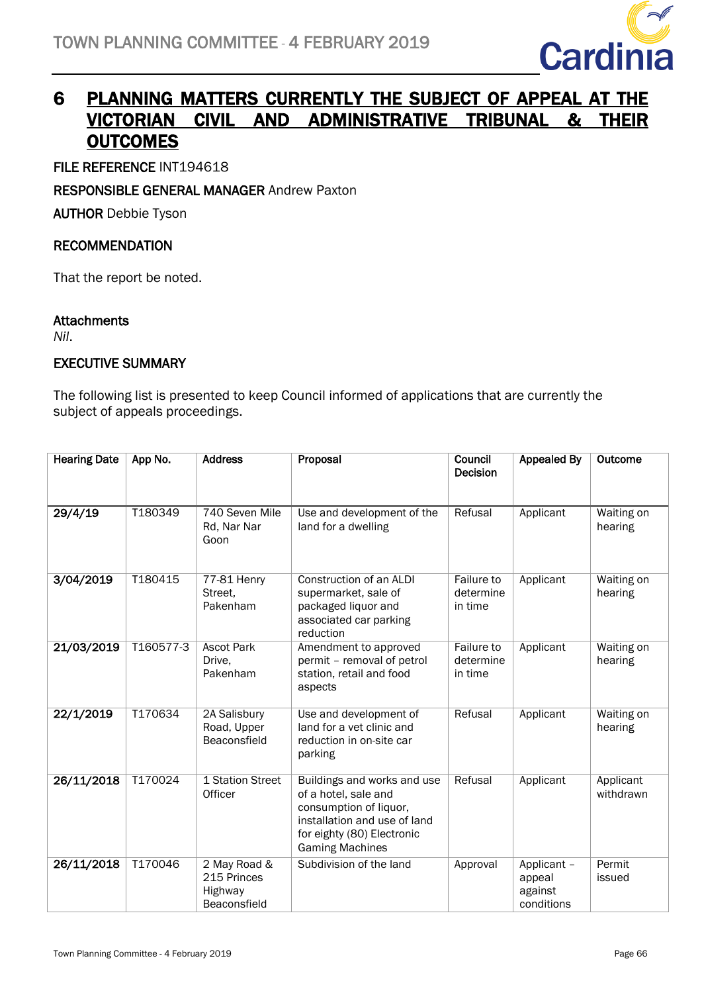

## 6 PLANNING MATTERS CURRENTLY THE SUBJECT OF APPEAL AT THE VICTORIAN CIVIL AND ADMINISTRATIVE TRIBUNAL & THEIR **OUTCOMES**

### FILE REFERENCE INT194618

#### RESPONSIBLE GENERAL MANAGER Andrew Paxton

AUTHOR Debbie Tyson

#### RECOMMENDATION

That the report be noted.

#### **Attachments**

*Nil*.

#### EXECUTIVE SUMMARY

The following list is presented to keep Council informed of applications that are currently the subject of appeals proceedings.

| <b>Hearing Date</b> | App No.   | <b>Address</b>                                         | Proposal                                                                                                                                                              | Council<br>Decision                | <b>Appealed By</b>                             | Outcome                |
|---------------------|-----------|--------------------------------------------------------|-----------------------------------------------------------------------------------------------------------------------------------------------------------------------|------------------------------------|------------------------------------------------|------------------------|
| 29/4/19             | T180349   | 740 Seven Mile<br>Rd, Nar Nar<br>Goon                  | Use and development of the<br>land for a dwelling                                                                                                                     | Refusal                            | Applicant                                      | Waiting on<br>hearing  |
| 3/04/2019           | T180415   | 77-81 Henry<br>Street,<br>Pakenham                     | Construction of an ALDI<br>supermarket, sale of<br>packaged liquor and<br>associated car parking<br>reduction                                                         | Failure to<br>determine<br>in time | Applicant                                      | Waiting on<br>hearing  |
| 21/03/2019          | T160577-3 | <b>Ascot Park</b><br>Drive,<br>Pakenham                | Amendment to approved<br>permit - removal of petrol<br>station, retail and food<br>aspects                                                                            | Failure to<br>determine<br>in time | Applicant                                      | Waiting on<br>hearing  |
| 22/1/2019           | T170634   | 2A Salisbury<br>Road, Upper<br>Beaconsfield            | Use and development of<br>land for a vet clinic and<br>reduction in on-site car<br>parking                                                                            | Refusal                            | Applicant                                      | Waiting on<br>hearing  |
| 26/11/2018          | T170024   | 1 Station Street<br>Officer                            | Buildings and works and use<br>of a hotel, sale and<br>consumption of liquor,<br>installation and use of land<br>for eighty (80) Electronic<br><b>Gaming Machines</b> | Refusal                            | Applicant                                      | Applicant<br>withdrawn |
| 26/11/2018          | T170046   | 2 May Road &<br>215 Princes<br>Highway<br>Beaconsfield | Subdivision of the land                                                                                                                                               | Approval                           | Applicant -<br>appeal<br>against<br>conditions | Permit<br>issued       |